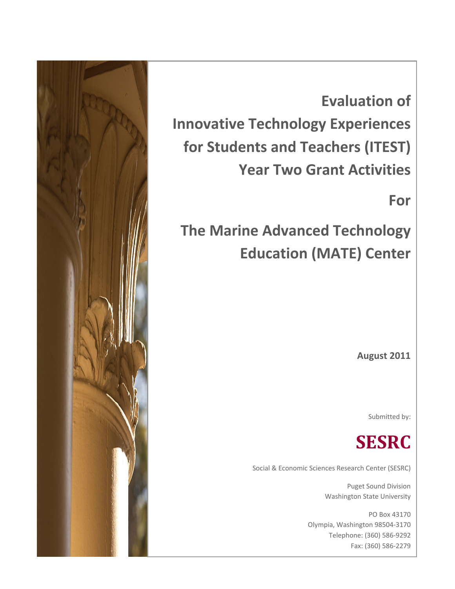

**Evaluation of Innovative Technology Experiences for Students and Teachers (ITEST) Year Two Grant Activities**

**For**

**The Marine Advanced Technology Education (MATE) Center**

**August 2011**

Submitted by:



Social & Economic Sciences Research Center (SESRC)

Puget Sound Division Washington State University

PO Box 43170 Olympia, Washington 98504‐3170 Telephone: (360) 586‐9292 Fax: (360) 586‐2279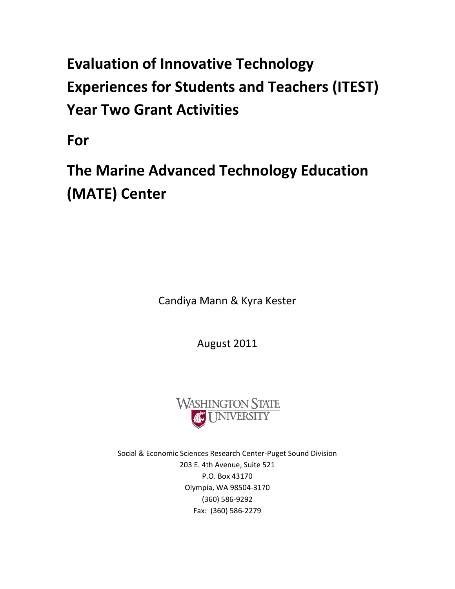# **Evaluation of Innovative Technology Experiences for Students and Teachers (ITEST) Year Two Grant Activities**

**For**

**The Marine Advanced Technology Education (MATE) Center**

Candiya Mann & Kyra Kester

August 2011



Social & Economic Sciences Research Center‐Puget Sound Division 203 E. 4th Avenue, Suite 521 P.O. Box 43170 Olympia, WA 98504‐3170 (360) 586‐9292 Fax: (360) 586‐2279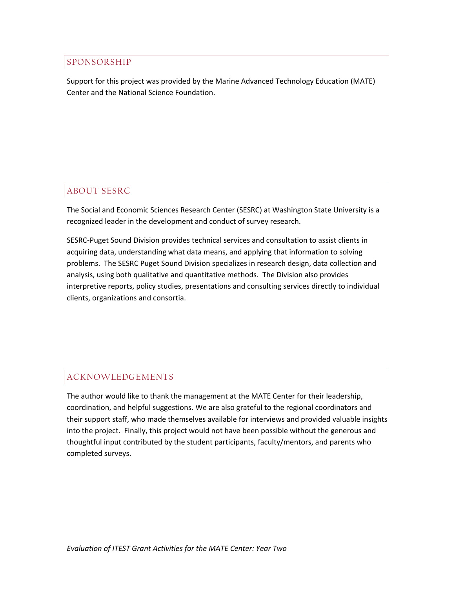### SPONSORSHIP

Support for this project was provided by the Marine Advanced Technology Education (MATE) Center and the National Science Foundation.

### ABOUT SESRC

The Social and Economic Sciences Research Center (SESRC) at Washington State University is a recognized leader in the development and conduct of survey research.

SESRC‐Puget Sound Division provides technical services and consultation to assist clients in acquiring data, understanding what data means, and applying that information to solving problems. The SESRC Puget Sound Division specializes in research design, data collection and analysis, using both qualitative and quantitative methods. The Division also provides interpretive reports, policy studies, presentations and consulting services directly to individual clients, organizations and consortia.

### ACKNOWLEDGEMENTS

The author would like to thank the management at the MATE Center for their leadership, coordination, and helpful suggestions. We are also grateful to the regional coordinators and their support staff, who made themselves available for interviews and provided valuable insights into the project. Finally, this project would not have been possible without the generous and thoughtful input contributed by the student participants, faculty/mentors, and parents who completed surveys.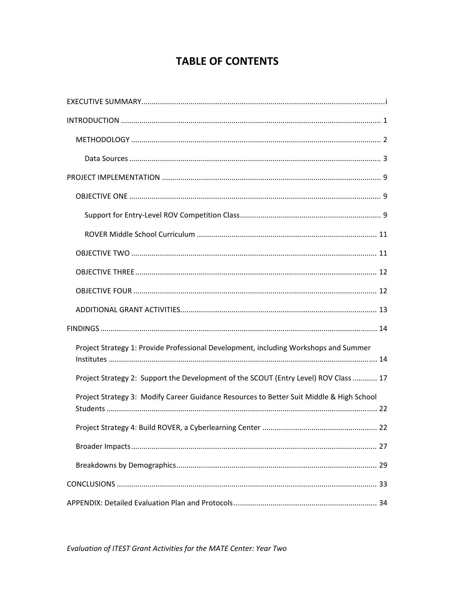## **TABLE OF CONTENTS**

| Project Strategy 1: Provide Professional Development, including Workshops and Summer     |
|------------------------------------------------------------------------------------------|
| Project Strategy 2: Support the Development of the SCOUT (Entry Level) ROV Class  17     |
| Project Strategy 3: Modify Career Guidance Resources to Better Suit Middle & High School |
|                                                                                          |
|                                                                                          |
|                                                                                          |
|                                                                                          |
|                                                                                          |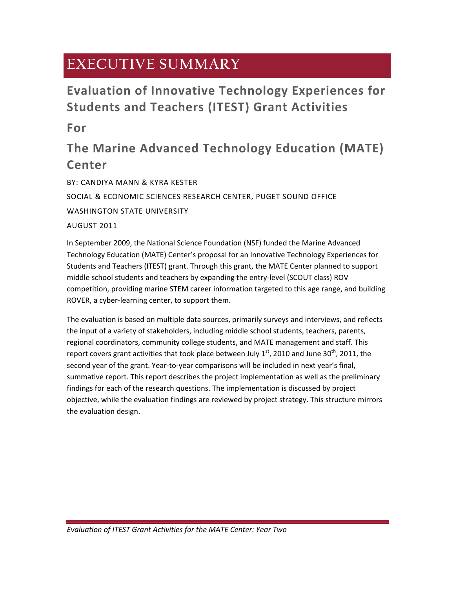# **EXECUTIVE SUMMARY**

# **Evaluation of Innovative Technology Experiences for Students and Teachers (ITEST) Grant Activities**

**For**

# **The Marine Advanced Technology Education (MATE) Center**

BY: CANDIYA MANN & KYRA KESTER SOCIAL & ECONOMIC SCIENCES RESEARCH CENTER, PUGET SOUND OFFICE WASHINGTON STATE UNIVERSITY AUGUST 2011

In September 2009, the National Science Foundation (NSF) funded the Marine Advanced Technology Education (MATE) Center's proposal for an Innovative Technology Experiences for Students and Teachers (ITEST) grant. Through this grant, the MATE Center planned to support middle school students and teachers by expanding the entry-level (SCOUT class) ROV competition, providing marine STEM career information targeted to this age range, and building ROVER, a cyber‐learning center, to support them.

The evaluation is based on multiple data sources, primarily surveys and interviews, and reflects the input of a variety of stakeholders, including middle school students, teachers, parents, regional coordinators, community college students, and MATE management and staff. This report covers grant activities that took place between July  $1^{st}$ , 2010 and June 30<sup>th</sup>, 2011, the second year of the grant. Year-to-year comparisons will be included in next year's final, summative report. This report describes the project implementation as well as the preliminary findings for each of the research questions. The implementation is discussed by project objective, while the evaluation findings are reviewed by project strategy. This structure mirrors the evaluation design.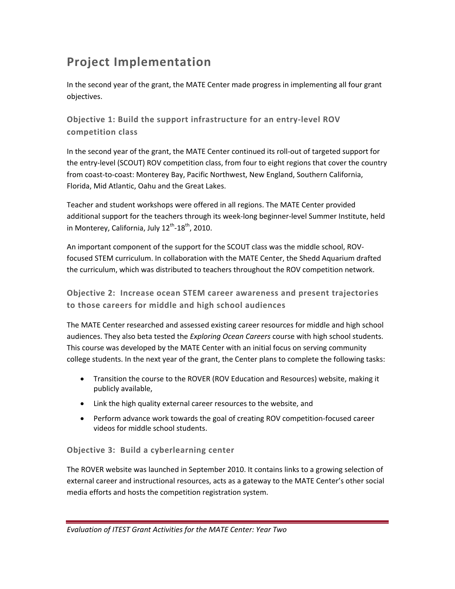# **Project Implementation**

In the second year of the grant, the MATE Center made progress in implementing all four grant objectives.

**Objective 1: Build the support infrastructure for an entry‐level ROV competition class** 

In the second year of the grant, the MATE Center continued its roll‐out of targeted support for the entry-level (SCOUT) ROV competition class, from four to eight regions that cover the country from coast‐to‐coast: Monterey Bay, Pacific Northwest, New England, Southern California, Florida, Mid Atlantic, Oahu and the Great Lakes.

Teacher and student workshops were offered in all regions. The MATE Center provided additional support for the teachers through its week‐long beginner‐level Summer Institute, held in Monterey, California, July  $12^{th}$ -18<sup>th</sup>, 2010.

An important component of the support for the SCOUT class was the middle school, ROV‐ focused STEM curriculum. In collaboration with the MATE Center, the Shedd Aquarium drafted the curriculum, which was distributed to teachers throughout the ROV competition network.

**Objective 2: Increase ocean STEM career awareness and present trajectories to those careers for middle and high school audiences**

The MATE Center researched and assessed existing career resources for middle and high school audiences. They also beta tested the *Exploring Ocean Careers* course with high school students. This course was developed by the MATE Center with an initial focus on serving community college students. In the next year of the grant, the Center plans to complete the following tasks:

- Transition the course to the ROVER (ROV Education and Resources) website, making it publicly available,
- Link the high quality external career resources to the website, and
- Perform advance work towards the goal of creating ROV competition‐focused career videos for middle school students.

### **Objective 3: Build a cyberlearning center**

The ROVER website was launched in September 2010. It contains links to a growing selection of external career and instructional resources, acts as a gateway to the MATE Center's other social media efforts and hosts the competition registration system.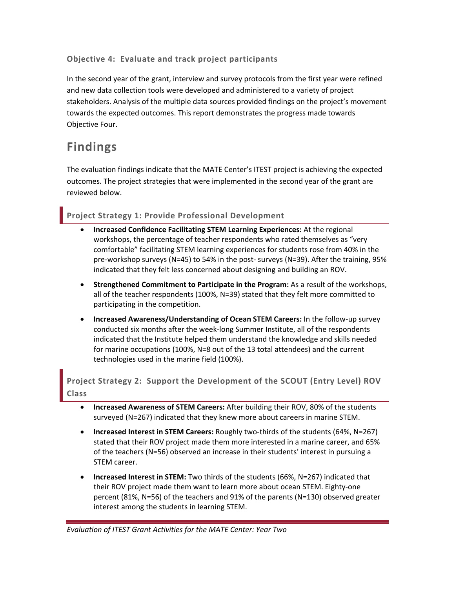### **Objective 4: Evaluate and track project participants**

In the second year of the grant, interview and survey protocols from the first year were refined and new data collection tools were developed and administered to a variety of project stakeholders. Analysis of the multiple data sources provided findings on the project's movement towards the expected outcomes. This report demonstrates the progress made towards Objective Four.

## **Findings**

The evaluation findings indicate that the MATE Center's ITEST project is achieving the expected outcomes. The project strategies that were implemented in the second year of the grant are reviewed below.

### **Project Strategy 1: Provide Professional Development**

- **Increased Confidence Facilitating STEM Learning Experiences:** At the regional workshops, the percentage of teacher respondents who rated themselves as "very comfortable" facilitating STEM learning experiences for students rose from 40% in the pre-workshop surveys (N=45) to 54% in the post- surveys (N=39). After the training, 95% indicated that they felt less concerned about designing and building an ROV.
- **Strengthened Commitment to Participate in the Program:** As a result of the workshops, all of the teacher respondents (100%, N=39) stated that they felt more committed to participating in the competition.
- **Increased Awareness/Understanding of Ocean STEM Careers:** In the follow‐up survey conducted six months after the week‐long Summer Institute, all of the respondents indicated that the Institute helped them understand the knowledge and skills needed for marine occupations (100%, N=8 out of the 13 total attendees) and the current technologies used in the marine field (100%).

**Project Strategy 2: Support the Development of the SCOUT (Entry Level) ROV Class**

- **Increased Awareness of STEM Careers:** After building their ROV, 80% of the students surveyed (N=267) indicated that they knew more about careers in marine STEM.
- **Increased Interest in STEM Careers:** Roughly two‐thirds of the students (64%, N=267) stated that their ROV project made them more interested in a marine career, and 65% of the teachers (N=56) observed an increase in their students' interest in pursuing a STEM career.
- **Increased Interest in STEM:** Two thirds of the students (66%, N=267) indicated that their ROV project made them want to learn more about ocean STEM. Eighty‐one percent (81%, N=56) of the teachers and 91% of the parents (N=130) observed greater interest among the students in learning STEM.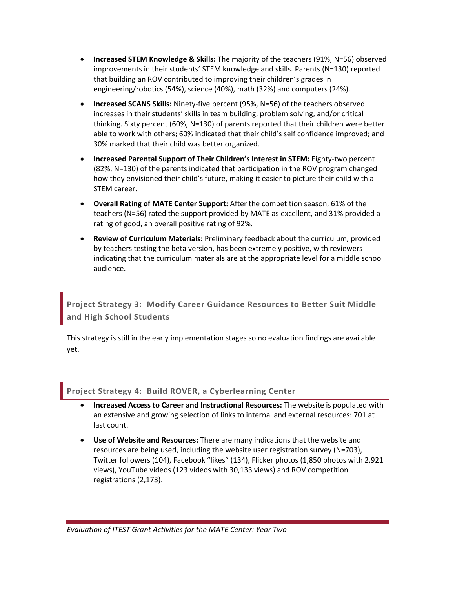- **Increased STEM Knowledge & Skills:** The majority of the teachers (91%, N=56) observed improvements in their students' STEM knowledge and skills. Parents (N=130) reported that building an ROV contributed to improving their children's grades in engineering/robotics (54%), science (40%), math (32%) and computers (24%).
- **Increased SCANS Skills:** Ninety‐five percent (95%, N=56) of the teachers observed increases in their students' skills in team building, problem solving, and/or critical thinking. Sixty percent (60%, N=130) of parents reported that their children were better able to work with others; 60% indicated that their child's self confidence improved; and 30% marked that their child was better organized.
- **Increased Parental Support of Their Children's Interest in STEM:** Eighty‐two percent (82%, N=130) of the parents indicated that participation in the ROV program changed how they envisioned their child's future, making it easier to picture their child with a STEM career.
- **Overall Rating of MATE Center Support:** After the competition season, 61% of the teachers (N=56) rated the support provided by MATE as excellent, and 31% provided a rating of good, an overall positive rating of 92%.
- **Review of Curriculum Materials:** Preliminary feedback about the curriculum, provided by teachers testing the beta version, has been extremely positive, with reviewers indicating that the curriculum materials are at the appropriate level for a middle school audience.

**Project Strategy 3: Modify Career Guidance Resources to Better Suit Middle and High School Students**

This strategy is still in the early implementation stages so no evaluation findings are available yet.

### **Project Strategy 4: Build ROVER, a Cyberlearning Center**

- **Increased Access to Career and Instructional Resources:** The website is populated with an extensive and growing selection of links to internal and external resources: 701 at last count.
- **Use of Website and Resources:** There are many indications that the website and resources are being used, including the website user registration survey (N=703), Twitter followers (104), Facebook "likes" (134), Flicker photos (1,850 photos with 2,921 views), YouTube videos (123 videos with 30,133 views) and ROV competition registrations (2,173).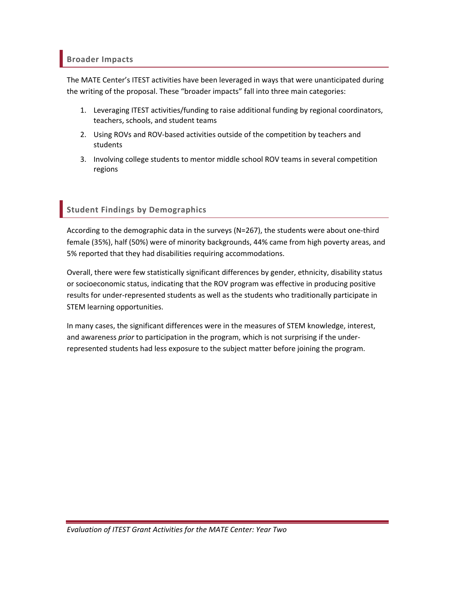### **Broader Impacts**

The MATE Center's ITEST activities have been leveraged in ways that were unanticipated during the writing of the proposal. These "broader impacts" fall into three main categories:

- 1. Leveraging ITEST activities/funding to raise additional funding by regional coordinators, teachers, schools, and student teams
- 2. Using ROVs and ROV-based activities outside of the competition by teachers and students
- 3. Involving college students to mentor middle school ROV teams in several competition regions

## **Student Findings by Demographics**

According to the demographic data in the surveys (N=267), the students were about one‐third female (35%), half (50%) were of minority backgrounds, 44% came from high poverty areas, and 5% reported that they had disabilities requiring accommodations.

Overall, there were few statistically significant differences by gender, ethnicity, disability status or socioeconomic status, indicating that the ROV program was effective in producing positive results for under‐represented students as well as the students who traditionally participate in STEM learning opportunities.

In many cases, the significant differences were in the measures of STEM knowledge, interest, and awareness *prior* to participation in the program, which is not surprising if the under‐ represented students had less exposure to the subject matter before joining the program.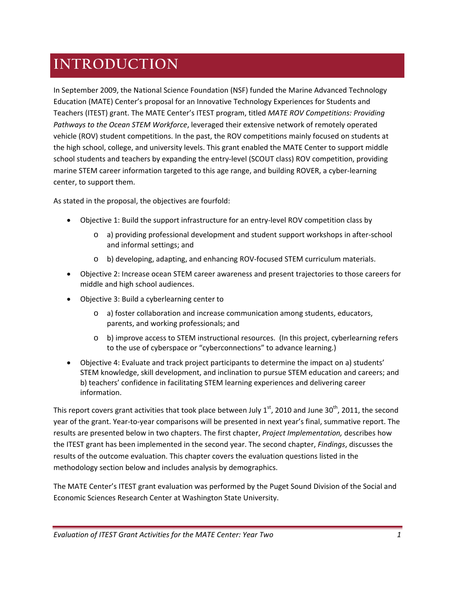# **INTRODUCTION**

In September 2009, the National Science Foundation (NSF) funded the Marine Advanced Technology Education (MATE) Center's proposal for an Innovative Technology Experiences for Students and Teachers (ITEST) grant. The MATE Center's ITEST program, titled *MATE ROV Competitions: Providing Pathways to the Ocean STEM Workforce*, leveraged their extensive network of remotely operated vehicle (ROV) student competitions. In the past, the ROV competitions mainly focused on students at the high school, college, and university levels. This grant enabled the MATE Center to support middle school students and teachers by expanding the entry-level (SCOUT class) ROV competition, providing marine STEM career information targeted to this age range, and building ROVER, a cyber‐learning center, to support them.

As stated in the proposal, the objectives are fourfold:

- Objective 1: Build the support infrastructure for an entry‐level ROV competition class by
	- o a) providing professional development and student support workshops in after‐school and informal settings; and
	- o b) developing, adapting, and enhancing ROV‐focused STEM curriculum materials.
- Objective 2: Increase ocean STEM career awareness and present trajectories to those careers for middle and high school audiences.
- Objective 3: Build a cyberlearning center to
	- o a) foster collaboration and increase communication among students, educators, parents, and working professionals; and
	- o b) improve access to STEM instructional resources. (In this project, cyberlearning refers to the use of cyberspace or "cyberconnections" to advance learning.)
- Objective 4: Evaluate and track project participants to determine the impact on a) students' STEM knowledge, skill development, and inclination to pursue STEM education and careers; and b) teachers' confidence in facilitating STEM learning experiences and delivering career information.

This report covers grant activities that took place between July  $1<sup>st</sup>$ , 2010 and June 30<sup>th</sup>, 2011, the second year of the grant. Year‐to‐year comparisons will be presented in next year's final, summative report. The results are presented below in two chapters. The first chapter, *Project Implementation,* describes how the ITEST grant has been implemented in the second year. The second chapter, *Findings*, discusses the results of the outcome evaluation. This chapter covers the evaluation questions listed in the methodology section below and includes analysis by demographics.

The MATE Center's ITEST grant evaluation was performed by the Puget Sound Division of the Social and Economic Sciences Research Center at Washington State University.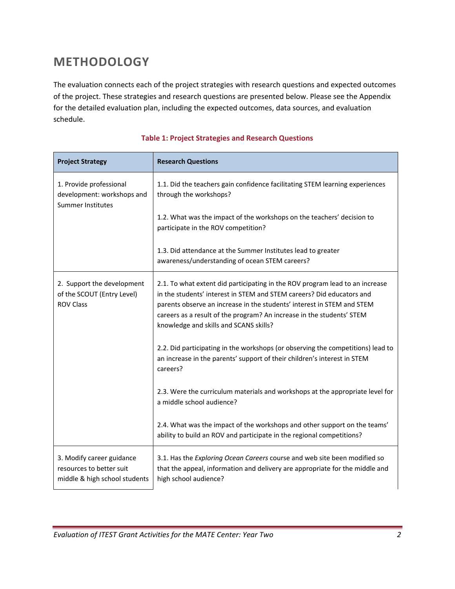# **METHODOLOGY**

The evaluation connects each of the project strategies with research questions and expected outcomes of the project. These strategies and research questions are presented below. Please see the Appendix for the detailed evaluation plan, including the expected outcomes, data sources, and evaluation schedule.

| <b>Project Strategy</b>                                                                | <b>Research Questions</b>                                                                                                                                                                                                                                                                                                                          |
|----------------------------------------------------------------------------------------|----------------------------------------------------------------------------------------------------------------------------------------------------------------------------------------------------------------------------------------------------------------------------------------------------------------------------------------------------|
| 1. Provide professional<br>development: workshops and<br><b>Summer Institutes</b>      | 1.1. Did the teachers gain confidence facilitating STEM learning experiences<br>through the workshops?                                                                                                                                                                                                                                             |
|                                                                                        | 1.2. What was the impact of the workshops on the teachers' decision to<br>participate in the ROV competition?                                                                                                                                                                                                                                      |
|                                                                                        | 1.3. Did attendance at the Summer Institutes lead to greater<br>awareness/understanding of ocean STEM careers?                                                                                                                                                                                                                                     |
| 2. Support the development<br>of the SCOUT (Entry Level)<br><b>ROV Class</b>           | 2.1. To what extent did participating in the ROV program lead to an increase<br>in the students' interest in STEM and STEM careers? Did educators and<br>parents observe an increase in the students' interest in STEM and STEM<br>careers as a result of the program? An increase in the students' STEM<br>knowledge and skills and SCANS skills? |
|                                                                                        | 2.2. Did participating in the workshops (or observing the competitions) lead to<br>an increase in the parents' support of their children's interest in STEM<br>careers?                                                                                                                                                                            |
|                                                                                        | 2.3. Were the curriculum materials and workshops at the appropriate level for<br>a middle school audience?                                                                                                                                                                                                                                         |
|                                                                                        | 2.4. What was the impact of the workshops and other support on the teams'<br>ability to build an ROV and participate in the regional competitions?                                                                                                                                                                                                 |
| 3. Modify career guidance<br>resources to better suit<br>middle & high school students | 3.1. Has the Exploring Ocean Careers course and web site been modified so<br>that the appeal, information and delivery are appropriate for the middle and<br>high school audience?                                                                                                                                                                 |

### **Table 1: Project Strategies and Research Questions**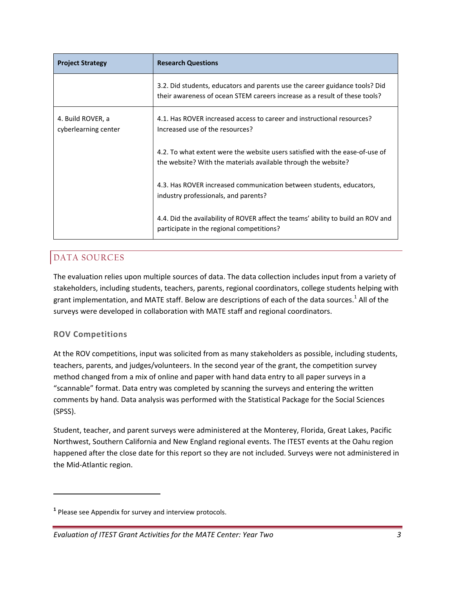| <b>Project Strategy</b>                   | <b>Research Questions</b>                                                                                                                                 |
|-------------------------------------------|-----------------------------------------------------------------------------------------------------------------------------------------------------------|
|                                           | 3.2. Did students, educators and parents use the career guidance tools? Did<br>their awareness of ocean STEM careers increase as a result of these tools? |
| 4. Build ROVER, a<br>cyberlearning center | 4.1. Has ROVER increased access to career and instructional resources?<br>Increased use of the resources?                                                 |
|                                           | 4.2. To what extent were the website users satisfied with the ease-of-use of<br>the website? With the materials available through the website?            |
|                                           | 4.3. Has ROVER increased communication between students, educators,<br>industry professionals, and parents?                                               |
|                                           | 4.4. Did the availability of ROVER affect the teams' ability to build an ROV and<br>participate in the regional competitions?                             |

## DATA SOURCES

The evaluation relies upon multiple sources of data. The data collection includes input from a variety of stakeholders, including students, teachers, parents, regional coordinators, college students helping with grant implementation, and MATE staff. Below are descriptions of each of the data sources.<sup>1</sup> All of the surveys were developed in collaboration with MATE staff and regional coordinators.

### **ROV Competitions**

At the ROV competitions, input was solicited from as many stakeholders as possible, including students, teachers, parents, and judges/volunteers. In the second year of the grant, the competition survey method changed from a mix of online and paper with hand data entry to all paper surveys in a "scannable" format. Data entry was completed by scanning the surveys and entering the written comments by hand. Data analysis was performed with the Statistical Package for the Social Sciences (SPSS).

Student, teacher, and parent surveys were administered at the Monterey, Florida, Great Lakes, Pacific Northwest, Southern California and New England regional events. The ITEST events at the Oahu region happened after the close date for this report so they are not included. Surveys were not administered in the Mid‐Atlantic region.

**<sup>1</sup>** Please see Appendix for survey and interview protocols.

*Evaluation of ITEST Grant Activities for the MATE Center: Year Two 3*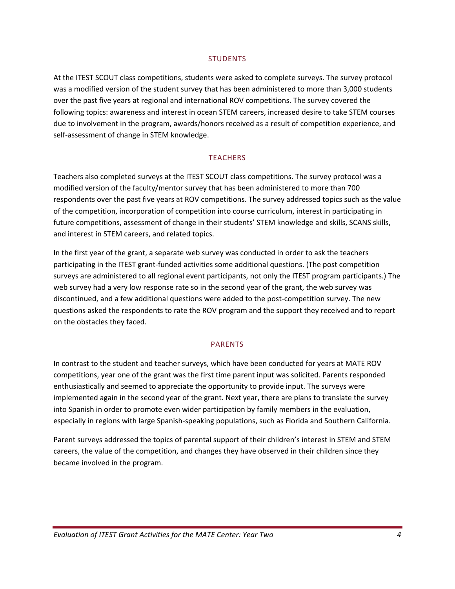#### **STUDENTS**

At the ITEST SCOUT class competitions, students were asked to complete surveys. The survey protocol was a modified version of the student survey that has been administered to more than 3,000 students over the past five years at regional and international ROV competitions. The survey covered the following topics: awareness and interest in ocean STEM careers, increased desire to take STEM courses due to involvement in the program, awards/honors received as a result of competition experience, and self-assessment of change in STEM knowledge.

#### **TEACHERS**

Teachers also completed surveys at the ITEST SCOUT class competitions. The survey protocol was a modified version of the faculty/mentor survey that has been administered to more than 700 respondents over the past five years at ROV competitions. The survey addressed topics such as the value of the competition, incorporation of competition into course curriculum, interest in participating in future competitions, assessment of change in their students' STEM knowledge and skills, SCANS skills, and interest in STEM careers, and related topics.

In the first year of the grant, a separate web survey was conducted in order to ask the teachers participating in the ITEST grant‐funded activities some additional questions. (The post competition surveys are administered to all regional event participants, not only the ITEST program participants.) The web survey had a very low response rate so in the second year of the grant, the web survey was discontinued, and a few additional questions were added to the post-competition survey. The new questions asked the respondents to rate the ROV program and the support they received and to report on the obstacles they faced.

#### PARENTS

In contrast to the student and teacher surveys, which have been conducted for years at MATE ROV competitions, year one of the grant was the first time parent input was solicited. Parents responded enthusiastically and seemed to appreciate the opportunity to provide input. The surveys were implemented again in the second year of the grant. Next year, there are plans to translate the survey into Spanish in order to promote even wider participation by family members in the evaluation, especially in regions with large Spanish‐speaking populations, such as Florida and Southern California.

Parent surveys addressed the topics of parental support of their children's interest in STEM and STEM careers, the value of the competition, and changes they have observed in their children since they became involved in the program.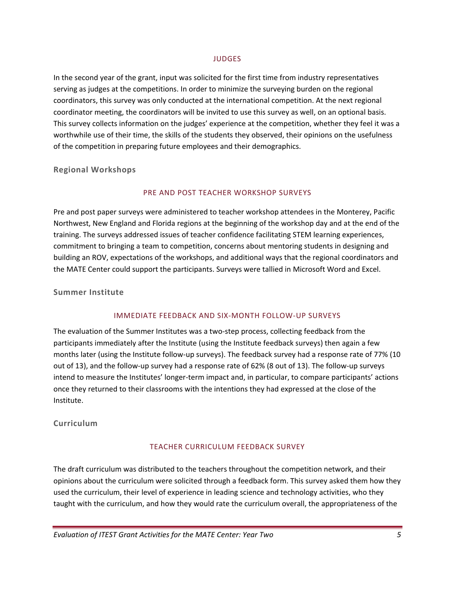#### **JUDGES**

In the second year of the grant, input was solicited for the first time from industry representatives serving as judges at the competitions. In order to minimize the surveying burden on the regional coordinators, this survey was only conducted at the international competition. At the next regional coordinator meeting, the coordinators will be invited to use this survey as well, on an optional basis. This survey collects information on the judges' experience at the competition, whether they feel it was a worthwhile use of their time, the skills of the students they observed, their opinions on the usefulness of the competition in preparing future employees and their demographics.

**Regional Workshops**

### PRE AND POST TEACHER WORKSHOP SURVEYS

Pre and post paper surveys were administered to teacher workshop attendees in the Monterey, Pacific Northwest, New England and Florida regions at the beginning of the workshop day and at the end of the training. The surveys addressed issues of teacher confidence facilitating STEM learning experiences, commitment to bringing a team to competition, concerns about mentoring students in designing and building an ROV, expectations of the workshops, and additional ways that the regional coordinators and the MATE Center could support the participants. Surveys were tallied in Microsoft Word and Excel.

**Summer Institute**

#### IMMEDIATE FEEDBACK AND SIX‐MONTH FOLLOW‐UP SURVEYS

The evaluation of the Summer Institutes was a two-step process, collecting feedback from the participants immediately after the Institute (using the Institute feedback surveys) then again a few months later (using the Institute follow-up surveys). The feedback survey had a response rate of 77% (10 out of 13), and the follow-up survey had a response rate of 62% (8 out of 13). The follow-up surveys intend to measure the Institutes' longer‐term impact and, in particular, to compare participants' actions once they returned to their classrooms with the intentions they had expressed at the close of the Institute.

### **Curriculum**

### TEACHER CURRICULUM FEEDBACK SURVEY

The draft curriculum was distributed to the teachers throughout the competition network, and their opinions about the curriculum were solicited through a feedback form. This survey asked them how they used the curriculum, their level of experience in leading science and technology activities, who they taught with the curriculum, and how they would rate the curriculum overall, the appropriateness of the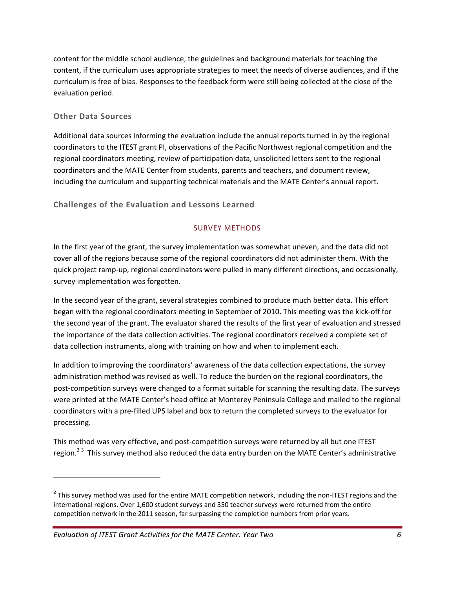content for the middle school audience, the guidelines and background materials for teaching the content, if the curriculum uses appropriate strategies to meet the needs of diverse audiences, and if the curriculum is free of bias. Responses to the feedback form were still being collected at the close of the evaluation period.

### **Other Data Sources**

Additional data sources informing the evaluation include the annual reports turned in by the regional coordinators to the ITEST grant PI, observations of the Pacific Northwest regional competition and the regional coordinators meeting, review of participation data, unsolicited letters sent to the regional coordinators and the MATE Center from students, parents and teachers, and document review, including the curriculum and supporting technical materials and the MATE Center's annual report.

**Challenges of the Evaluation and Lessons Learned**

### SURVEY METHODS

In the first year of the grant, the survey implementation was somewhat uneven, and the data did not cover all of the regions because some of the regional coordinators did not administer them. With the quick project ramp‐up, regional coordinators were pulled in many different directions, and occasionally, survey implementation was forgotten.

In the second year of the grant, several strategies combined to produce much better data. This effort began with the regional coordinators meeting in September of 2010. This meeting was the kick‐off for the second year of the grant. The evaluator shared the results of the first year of evaluation and stressed the importance of the data collection activities. The regional coordinators received a complete set of data collection instruments, along with training on how and when to implement each.

In addition to improving the coordinators' awareness of the data collection expectations, the survey administration method was revised as well. To reduce the burden on the regional coordinators, the post-competition surveys were changed to a format suitable for scanning the resulting data. The surveys were printed at the MATE Center's head office at Monterey Peninsula College and mailed to the regional coordinators with a pre‐filled UPS label and box to return the completed surveys to the evaluator for processing.

This method was very effective, and post-competition surveys were returned by all but one ITEST region.<sup>23</sup> This survey method also reduced the data entry burden on the MATE Center's administrative

<sup>&</sup>lt;sup>2</sup> This survey method was used for the entire MATE competition network, including the non-ITEST regions and the international regions. Over 1,600 student surveys and 350 teacher surveys were returned from the entire competition network in the 2011 season, far surpassing the completion numbers from prior years.

*Evaluation of ITEST Grant Activities for the MATE Center: Year Two 6*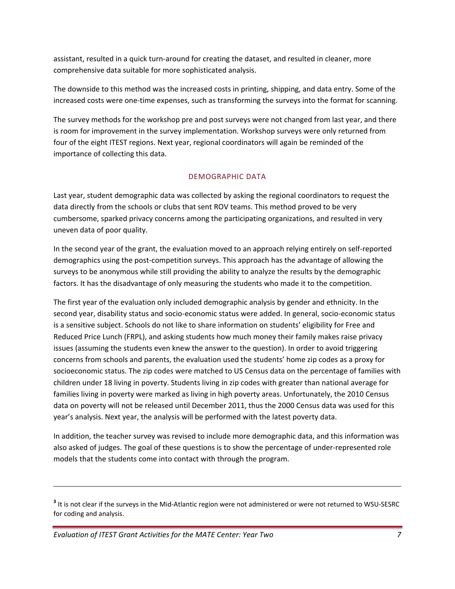assistant, resulted in a quick turn‐around for creating the dataset, and resulted in cleaner, more comprehensive data suitable for more sophisticated analysis.

The downside to this method was the increased costs in printing, shipping, and data entry. Some of the increased costs were one-time expenses, such as transforming the surveys into the format for scanning.

The survey methods for the workshop pre and post surveys were not changed from last year, and there is room for improvement in the survey implementation. Workshop surveys were only returned from four of the eight ITEST regions. Next year, regional coordinators will again be reminded of the importance of collecting this data.

### DEMOGRAPHIC DATA

Last year, student demographic data was collected by asking the regional coordinators to request the data directly from the schools or clubs that sent ROV teams. This method proved to be very cumbersome, sparked privacy concerns among the participating organizations, and resulted in very uneven data of poor quality.

In the second year of the grant, the evaluation moved to an approach relying entirely on self‐reported demographics using the post‐competition surveys. This approach has the advantage of allowing the surveys to be anonymous while still providing the ability to analyze the results by the demographic factors. It has the disadvantage of only measuring the students who made it to the competition.

The first year of the evaluation only included demographic analysis by gender and ethnicity. In the second year, disability status and socio‐economic status were added. In general, socio‐economic status is a sensitive subject. Schools do not like to share information on students' eligibility for Free and Reduced Price Lunch (FRPL), and asking students how much money their family makes raise privacy issues (assuming the students even knew the answer to the question). In order to avoid triggering concerns from schools and parents, the evaluation used the students' home zip codes as a proxy for socioeconomic status. The zip codes were matched to US Census data on the percentage of families with children under 18 living in poverty. Students living in zip codes with greater than national average for families living in poverty were marked as living in high poverty areas. Unfortunately, the 2010 Census data on poverty will not be released until December 2011, thus the 2000 Census data was used for this year's analysis. Next year, the analysis will be performed with the latest poverty data.

In addition, the teacher survey was revised to include more demographic data, and this information was also asked of judges. The goal of these questions is to show the percentage of under‐represented role models that the students come into contact with through the program.

<u> Andrewski politika (za obrazu za obrazu za obrazu za obrazu za obrazu za obrazu za obrazu za obrazu za obrazu</u>

**<sup>3</sup>** It is not clear if the surveys in the Mid‐Atlantic region were not administered or were not returned to WSU‐SESRC for coding and analysis.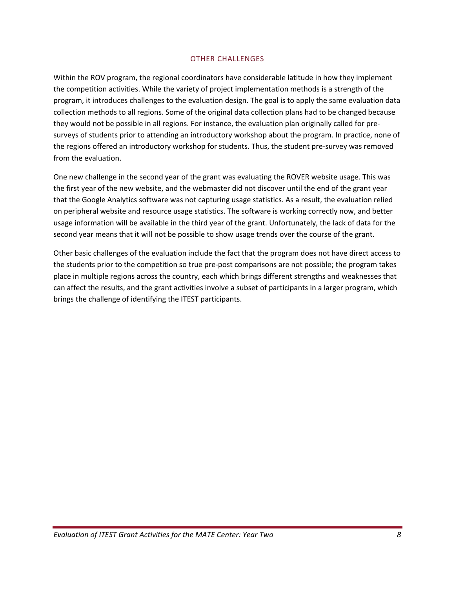#### OTHER CHALLENGES

Within the ROV program, the regional coordinators have considerable latitude in how they implement the competition activities. While the variety of project implementation methods is a strength of the program, it introduces challenges to the evaluation design. The goal is to apply the same evaluation data collection methods to all regions. Some of the original data collection plans had to be changed because they would not be possible in all regions. For instance, the evaluation plan originally called for pre‐ surveys of students prior to attending an introductory workshop about the program. In practice, none of the regions offered an introductory workshop for students. Thus, the student pre‐survey was removed from the evaluation.

One new challenge in the second year of the grant was evaluating the ROVER website usage. This was the first year of the new website, and the webmaster did not discover until the end of the grant year that the Google Analytics software was not capturing usage statistics. As a result, the evaluation relied on peripheral website and resource usage statistics. The software is working correctly now, and better usage information will be available in the third year of the grant. Unfortunately, the lack of data for the second year means that it will not be possible to show usage trends over the course of the grant.

Other basic challenges of the evaluation include the fact that the program does not have direct access to the students prior to the competition so true pre‐post comparisons are not possible; the program takes place in multiple regions across the country, each which brings different strengths and weaknesses that can affect the results, and the grant activities involve a subset of participants in a larger program, which brings the challenge of identifying the ITEST participants.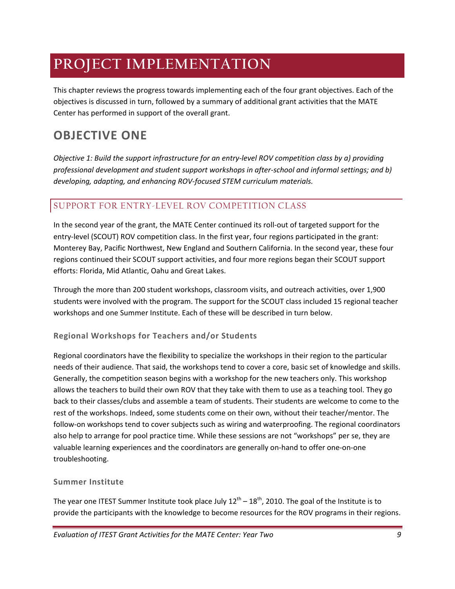# **PROJECT IMPLEMENTATION**

This chapter reviews the progress towards implementing each of the four grant objectives. Each of the objectives is discussed in turn, followed by a summary of additional grant activities that the MATE Center has performed in support of the overall grant.

## **OBJECTIVE ONE**

*Objective 1: Build the support infrastructure for an entry‐level ROV competition class by a) providing professional development and student support workshops in after‐school and informal settings; and b) developing, adapting, and enhancing ROV‐focused STEM curriculum materials.*

### SUPPORT FOR ENTRY-LEVEL ROV COMPETITION CLASS

In the second year of the grant, the MATE Center continued its roll-out of targeted support for the entry-level (SCOUT) ROV competition class. In the first year, four regions participated in the grant: Monterey Bay, Pacific Northwest, New England and Southern California. In the second year, these four regions continued their SCOUT support activities, and four more regions began their SCOUT support efforts: Florida, Mid Atlantic, Oahu and Great Lakes.

Through the more than 200 student workshops, classroom visits, and outreach activities, over 1,900 students were involved with the program. The support for the SCOUT class included 15 regional teacher workshops and one Summer Institute. Each of these will be described in turn below.

### **Regional Workshops for Teachers and/or Students**

Regional coordinators have the flexibility to specialize the workshops in their region to the particular needs of their audience. That said, the workshops tend to cover a core, basic set of knowledge and skills. Generally, the competition season begins with a workshop for the new teachers only. This workshop allows the teachers to build their own ROV that they take with them to use as a teaching tool. They go back to their classes/clubs and assemble a team of students. Their students are welcome to come to the rest of the workshops. Indeed, some students come on their own, without their teacher/mentor. The follow‐on workshops tend to cover subjects such as wiring and waterproofing. The regional coordinators also help to arrange for pool practice time. While these sessions are not "workshops" per se, they are valuable learning experiences and the coordinators are generally on‐hand to offer one‐on‐one troubleshooting.

### **Summer Institute**

The year one ITEST Summer Institute took place July  $12^{th} - 18^{th}$ , 2010. The goal of the Institute is to provide the participants with the knowledge to become resources for the ROV programs in their regions.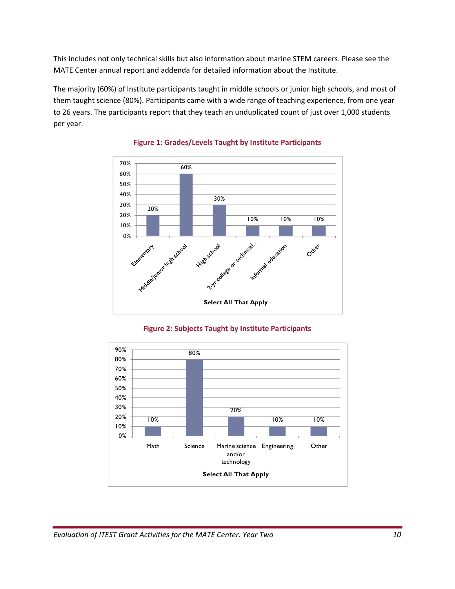This includes not only technical skills but also information about marine STEM careers. Please see the MATE Center annual report and addenda for detailed information about the Institute.

The majority (60%) of Institute participants taught in middle schools or junior high schools, and most of them taught science (80%). Participants came with a wide range of teaching experience, from one year to 26 years. The participants report that they teach an unduplicated count of just over 1,000 students per year.



### **Figure 1: Grades/Levels Taught by Institute Participants**



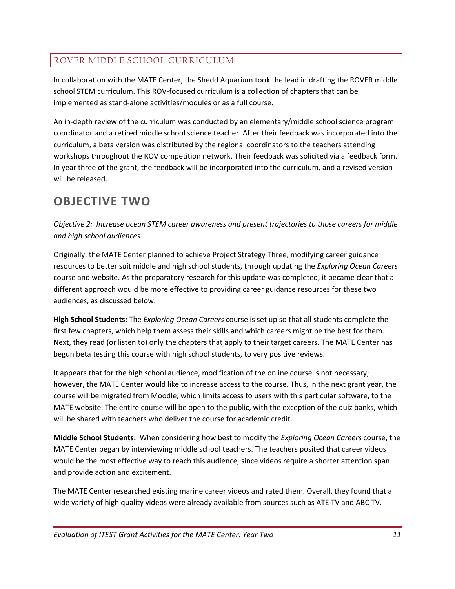### ROVER MIDDLE SCHOOL CURRICULUM

In collaboration with the MATE Center, the Shedd Aquarium took the lead in drafting the ROVER middle school STEM curriculum. This ROV‐focused curriculum is a collection of chapters that can be implemented as stand‐alone activities/modules or as a full course.

An in‐depth review of the curriculum was conducted by an elementary/middle school science program coordinator and a retired middle school science teacher. After their feedback was incorporated into the curriculum, a beta version was distributed by the regional coordinators to the teachers attending workshops throughout the ROV competition network. Their feedback was solicited via a feedback form. In year three of the grant, the feedback will be incorporated into the curriculum, and a revised version will be released.

## **OBJECTIVE TWO**

*Objective 2: Increase ocean STEM career awareness and present trajectories to those careers for middle and high school audiences.*

Originally, the MATE Center planned to achieve Project Strategy Three, modifying career guidance resources to better suit middle and high school students, through updating the *Exploring Ocean Careers* course and website. As the preparatory research for this update was completed, it became clear that a different approach would be more effective to providing career guidance resources for these two audiences, as discussed below.

**High School Students:** The *Exploring Ocean Careers* course is set up so that all students complete the first few chapters, which help them assess their skills and which careers might be the best for them. Next, they read (or listen to) only the chapters that apply to their target careers. The MATE Center has begun beta testing this course with high school students, to very positive reviews.

It appears that for the high school audience, modification of the online course is not necessary; however, the MATE Center would like to increase access to the course. Thus, in the next grant year, the course will be migrated from Moodle, which limits access to users with this particular software, to the MATE website. The entire course will be open to the public, with the exception of the quiz banks, which will be shared with teachers who deliver the course for academic credit.

**Middle School Students:** When considering how best to modify the *Exploring Ocean Careers* course, the MATE Center began by interviewing middle school teachers. The teachers posited that career videos would be the most effective way to reach this audience, since videos require a shorter attention span and provide action and excitement.

The MATE Center researched existing marine career videos and rated them. Overall, they found that a wide variety of high quality videos were already available from sources such as ATE TV and ABC TV.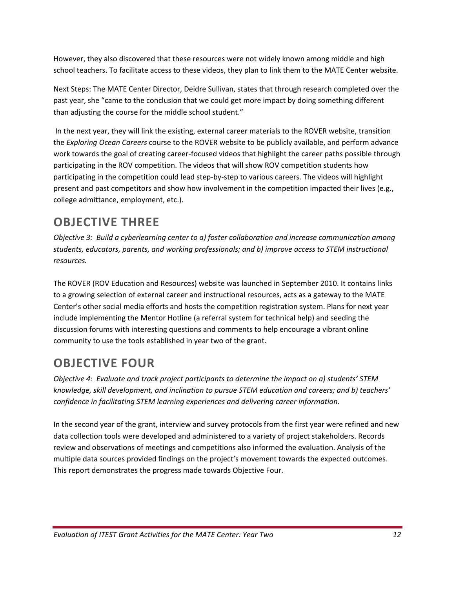However, they also discovered that these resources were not widely known among middle and high school teachers. To facilitate access to these videos, they plan to link them to the MATE Center website.

Next Steps: The MATE Center Director, Deidre Sullivan, states that through research completed over the past year, she "came to the conclusion that we could get more impact by doing something different than adjusting the course for the middle school student."

In the next year, they will link the existing, external career materials to the ROVER website, transition the *Exploring Ocean Careers* course to the ROVER website to be publicly available, and perform advance work towards the goal of creating career‐focused videos that highlight the career paths possible through participating in the ROV competition. The videos that will show ROV competition students how participating in the competition could lead step‐by‐step to various careers. The videos will highlight present and past competitors and show how involvement in the competition impacted their lives (e.g., college admittance, employment, etc.).

# **OBJECTIVE THREE**

*Objective 3: Build a cyberlearning center to a) foster collaboration and increase communication among students, educators, parents, and working professionals; and b) improve access to STEM instructional resources.*

The ROVER (ROV Education and Resources) website was launched in September 2010. It contains links to a growing selection of external career and instructional resources, acts as a gateway to the MATE Center's other social media efforts and hosts the competition registration system. Plans for next year include implementing the Mentor Hotline (a referral system for technical help) and seeding the discussion forums with interesting questions and comments to help encourage a vibrant online community to use the tools established in year two of the grant.

# **OBJECTIVE FOUR**

*Objective 4: Evaluate and track project participants to determine the impact on a) students' STEM knowledge, skill development, and inclination to pursue STEM education and careers; and b) teachers' confidence in facilitating STEM learning experiences and delivering career information.*

In the second year of the grant, interview and survey protocols from the first year were refined and new data collection tools were developed and administered to a variety of project stakeholders. Records review and observations of meetings and competitions also informed the evaluation. Analysis of the multiple data sources provided findings on the project's movement towards the expected outcomes. This report demonstrates the progress made towards Objective Four.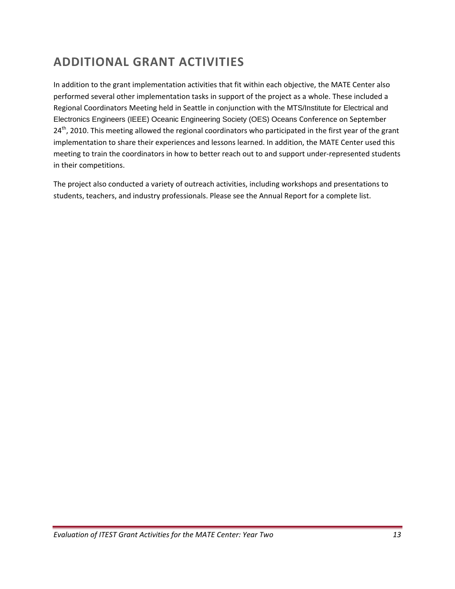# **ADDITIONAL GRANT ACTIVITIES**

In addition to the grant implementation activities that fit within each objective, the MATE Center also performed several other implementation tasks in support of the project as a whole. These included a Regional Coordinators Meeting held in Seattle in conjunction with the MTS/Institute for Electrical and Electronics Engineers (IEEE) Oceanic Engineering Society (OES) Oceans Conference on September 24<sup>th</sup>, 2010. This meeting allowed the regional coordinators who participated in the first year of the grant implementation to share their experiences and lessons learned. In addition, the MATE Center used this meeting to train the coordinators in how to better reach out to and support under‐represented students in their competitions.

The project also conducted a variety of outreach activities, including workshops and presentations to students, teachers, and industry professionals. Please see the Annual Report for a complete list.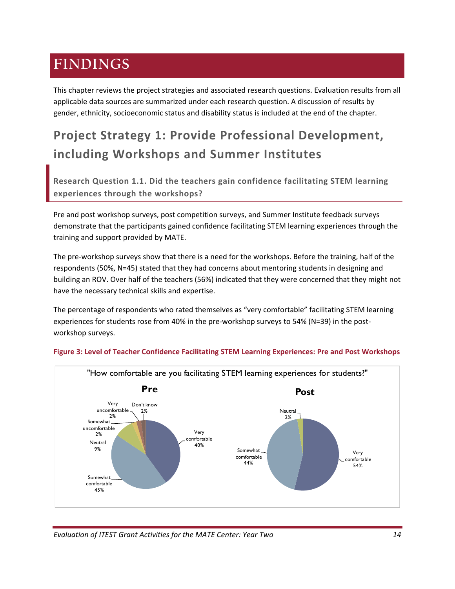# **FINDINGS**

This chapter reviews the project strategies and associated research questions. Evaluation results from all applicable data sources are summarized under each research question. A discussion of results by gender, ethnicity, socioeconomic status and disability status is included at the end of the chapter.

# **Project Strategy 1: Provide Professional Development, including Workshops and Summer Institutes**

**Research Question 1.1. Did the teachers gain confidence facilitating STEM learning experiences through the workshops?**

Pre and post workshop surveys, post competition surveys, and Summer Institute feedback surveys demonstrate that the participants gained confidence facilitating STEM learning experiences through the training and support provided by MATE.

The pre‐workshop surveys show that there is a need for the workshops. Before the training, half of the respondents (50%, N=45) stated that they had concerns about mentoring students in designing and building an ROV. Over half of the teachers (56%) indicated that they were concerned that they might not have the necessary technical skills and expertise.

The percentage of respondents who rated themselves as "very comfortable" facilitating STEM learning experiences for students rose from 40% in the pre-workshop surveys to 54% (N=39) in the postworkshop surveys.



### **Figure 3: Level of Teacher Confidence Facilitating STEM Learning Experiences: Pre and Post Workshops**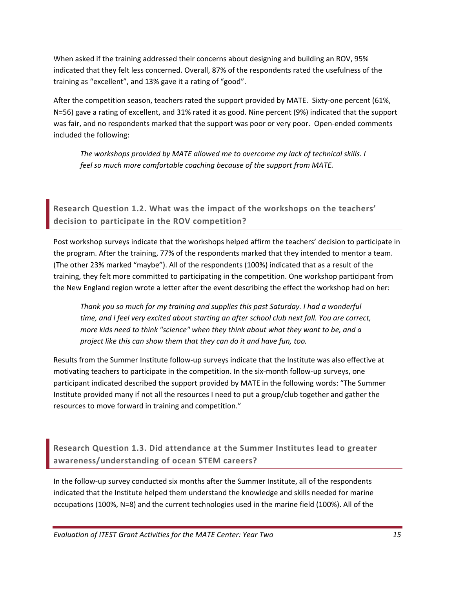When asked if the training addressed their concerns about designing and building an ROV, 95% indicated that they felt less concerned. Overall, 87% of the respondents rated the usefulness of the training as "excellent", and 13% gave it a rating of "good".

After the competition season, teachers rated the support provided by MATE. Sixty-one percent (61%, N=56) gave a rating of excellent, and 31% rated it as good. Nine percent (9%) indicated that the support was fair, and no respondents marked that the support was poor or very poor. Open-ended comments included the following:

*The workshops provided by MATE allowed me to overcome my lack of technical skills. I feel so much more comfortable coaching because of the support from MATE.*

**Research Question 1.2. What was the impact of the workshops on the teachers' decision to participate in the ROV competition?** 

Post workshop surveys indicate that the workshops helped affirm the teachers' decision to participate in the program. After the training, 77% of the respondents marked that they intended to mentor a team. (The other 23% marked "maybe"). All of the respondents (100%) indicated that as a result of the training, they felt more committed to participating in the competition. One workshop participant from the New England region wrote a letter after the event describing the effect the workshop had on her:

*Thank you so much for my training and supplies this past Saturday. I had a wonderful time, and l feel very excited about starting an after school club next fall. You are correct, more kids need to think "science" when they think about what they want to be, and a project like this can show them that they can do it and have fun, too.*

Results from the Summer Institute follow‐up surveys indicate that the Institute was also effective at motivating teachers to participate in the competition. In the six‐month follow‐up surveys, one participant indicated described the support provided by MATE in the following words: "The Summer Institute provided many if not all the resources I need to put a group/club together and gather the resources to move forward in training and competition."

**Research Question 1.3. Did attendance at the Summer Institutes lead to greater awareness/understanding of ocean STEM careers?**

In the follow‐up survey conducted six months after the Summer Institute, all of the respondents indicated that the Institute helped them understand the knowledge and skills needed for marine occupations (100%, N=8) and the current technologies used in the marine field (100%). All of the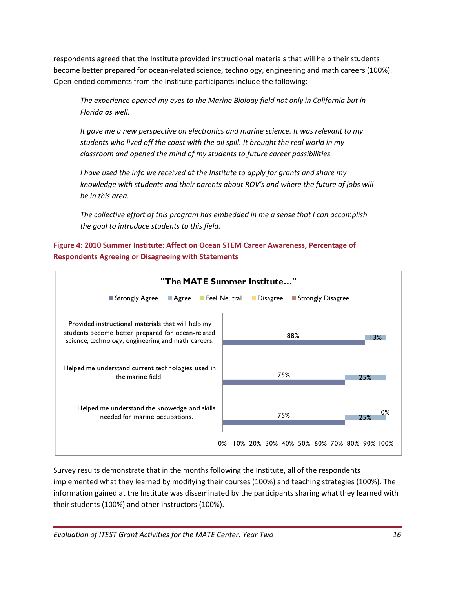respondents agreed that the Institute provided instructional materials that will help their students become better prepared for ocean-related science, technology, engineering and math careers (100%). Open‐ended comments from the Institute participants include the following:

*The experience opened my eyes to the Marine Biology field not only in California but in Florida as well.*

*It gave me a new perspective on electronics and marine science. It was relevant to my students who lived off the coast with the oil spill. It brought the real world in my classroom and opened the mind of my students to future career possibilities.*

*I have used the info we received at the Institute to apply for grants and share my knowledge with students and their parents about ROV's and where the future of jobs will be in this area.*

*The collective effort of this program has embedded in me a sense that I can accomplish the goal to introduce students to this field.*

**Figure 4: 2010 Summer Institute: Affect on Ocean STEM Career Awareness, Percentage of Respondents Agreeing or Disagreeing with Statements**



Survey results demonstrate that in the months following the Institute, all of the respondents implemented what they learned by modifying their courses (100%) and teaching strategies (100%). The information gained at the Institute was disseminated by the participants sharing what they learned with their students (100%) and other instructors (100%).

*Evaluation of ITEST Grant Activities for the MATE Center: Year Two 16*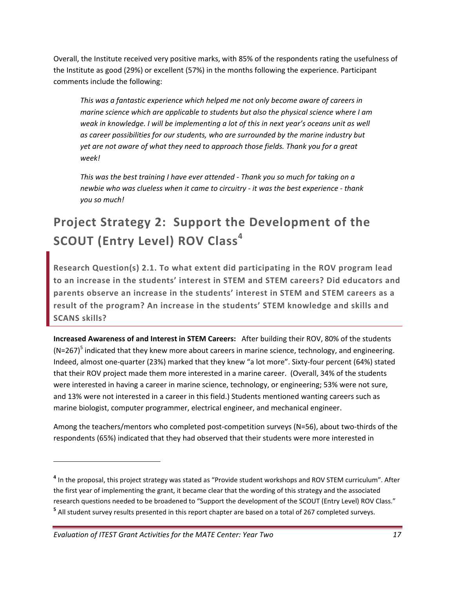Overall, the Institute received very positive marks, with 85% of the respondents rating the usefulness of the Institute as good (29%) or excellent (57%) in the months following the experience. Participant comments include the following:

*This was a fantastic experience which helped me not only become aware of careers in marine science which are applicable to students but also the physical science where I am weak in knowledge. I will be implementing a lot of this in next year's oceans unit as well as career possibilities for our students, who are surrounded by the marine industry but yet are not aware of what they need to approach those fields. Thank you for a great week!*

*This was the best training I have ever attended ‐ Thank you so much for taking on a newbie who was clueless when it came to circuitry ‐ it was the best experience ‐ thank you so much!*

# **Project Strategy 2: Support the Development of the SCOUT (Entry Level) ROV Class<sup>4</sup>**

**Research Question(s) 2.1. To what extent did participating in the ROV program lead to an increase in the students' interest in STEM and STEM careers? Did educators and parents observe an increase in the students' interest in STEM and STEM careers as a result of the program? An increase in the students' STEM knowledge and skills and SCANS skills?**

**Increased Awareness of and Interest in STEM Careers:** After building their ROV, 80% of the students  $(N=267)^5$  indicated that they knew more about careers in marine science, technology, and engineering. Indeed, almost one‐quarter (23%) marked that they knew "a lot more". Sixty‐four percent (64%) stated that their ROV project made them more interested in a marine career. (Overall, 34% of the students were interested in having a career in marine science, technology, or engineering; 53% were not sure, and 13% were not interested in a career in this field.) Students mentioned wanting careers such as marine biologist, computer programmer, electrical engineer, and mechanical engineer.

Among the teachers/mentors who completed post-competition surveys (N=56), about two-thirds of the respondents (65%) indicated that they had observed that their students were more interested in

**<sup>4</sup>** In the proposal, this project strategy was stated as "Provide student workshops and ROV STEM curriculum". After the first year of implementing the grant, it became clear that the wording of this strategy and the associated research questions needed to be broadened to "Support the development of the SCOUT (Entry Level) ROV Class." **<sup>5</sup>** All student survey results presented in this report chapter are based on a total of 267 completed surveys.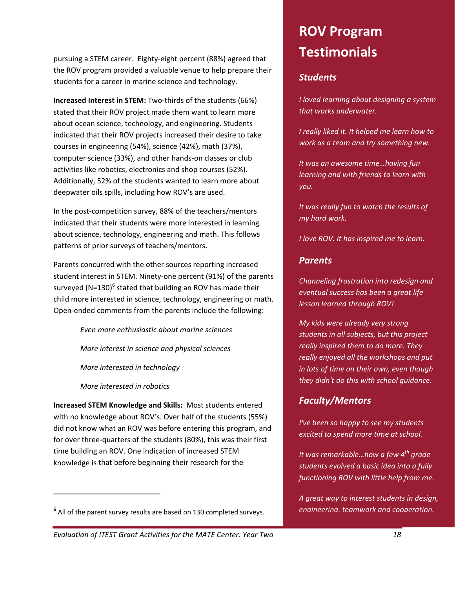pursuing a STEM career. Eighty‐eight percent (88%) agreed that the ROV program provided a valuable venue to help prepare their students for a career in marine science and technology.

**Increased Interest in STEM:** Two‐thirds of the students (66%) stated that their ROV project made them want to learn more about ocean science, technology, and engineering. Students indicated that their ROV projects increased their desire to take courses in engineering (54%), science (42%), math (37%), computer science (33%), and other hands‐on classes or club activities like robotics, electronics and shop courses (52%). Additionally, 52% of the students wanted to learn more about deepwater oils spills, including how ROV's are used.

In the post-competition survey, 88% of the teachers/mentors indicated that their students were more interested in learning about science, technology, engineering and math. This follows patterns of prior surveys of teachers/mentors.

Parents concurred with the other sources reporting increased student interest in STEM. Ninety‐one percent (91%) of the parents surveyed (N=130) $^6$  stated that building an ROV has made their child more interested in science, technology, engineering or math. Open‐ended comments from the parents include the following:

*Even more enthusiastic about marine sciences*

*More interest in science and physical sciences*

*More interested in technology*

*More interested in robotics*

**Increased STEM Knowledge and Skills:** Most students entered with no knowledge about ROV's. Over half of the students (55%) did not know what an ROV was before entering this program, and for over three-quarters of the students (80%), this was their first time building an ROV. One indication of increased STEM knowledge is that before beginning their research for the

# **ROV Program Testimonials**

### *Students*

*I loved learning about designing a system that works underwater.*

*I really liked it. It helped me learn how to work as a team and try something new.*

*It was an awesome time…having fun learning and with friends to learn with you.*

*It was really fun to watch the results of my hard work.*

*I love ROV. It has inspired me to learn.*

### *Parents*

*Channeling frustration into redesign and eventual success has been a great life lesson learned through ROV!*

*My kids were already very strong students in all subjects, but this project really inspired them to do more. They really enjoyed all the workshops and put in lots of time on their own, even though they didn't do this with school guidance.*

## *Faculty/Mentors*

*I've been so happy to see my students excited to spend more time at school.*

*It was remarkable…how a few 4th grade students evolved a basic idea into a fully functioning ROV with little help from me.*

*A great way to interest students in design, engineering, teamwork and cooperation.*

*Evaluation of ITEST Grant Activities for the MATE Center: Year Two 18*

**<sup>6</sup>** All of the parent survey results are based on 130 completed surveys.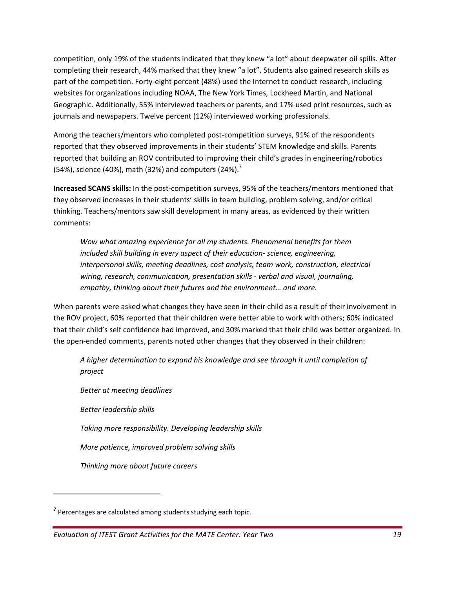competition, only 19% of the students indicated that they knew "a lot" about deepwater oil spills. After completing their research, 44% marked that they knew "a lot". Students also gained research skills as part of the competition. Forty-eight percent (48%) used the Internet to conduct research, including websites for organizations including NOAA, The New York Times, Lockheed Martin, and National Geographic. Additionally, 55% interviewed teachers or parents, and 17% used print resources, such as journals and newspapers. Twelve percent (12%) interviewed working professionals.

Among the teachers/mentors who completed post-competition surveys, 91% of the respondents reported that they observed improvements in their students' STEM knowledge and skills. Parents reported that building an ROV contributed to improving their child's grades in engineering/robotics (54%), science (40%), math (32%) and computers (24%).<sup>7</sup>

**Increased SCANS skills:** In the post‐competition surveys, 95% of the teachers/mentors mentioned that they observed increases in their students' skills in team building, problem solving, and/or critical thinking. Teachers/mentors saw skill development in many areas, as evidenced by their written comments:

*Wow what amazing experience for all my students. Phenomenal benefits for them included skill building in every aspect of their education‐ science, engineering, interpersonal skills, meeting deadlines, cost analysis, team work, construction, electrical wiring, research, communication, presentation skills ‐ verbal and visual, journaling, empathy, thinking about their futures and the environment… and more.*

When parents were asked what changes they have seen in their child as a result of their involvement in the ROV project, 60% reported that their children were better able to work with others; 60% indicated that their child's self confidence had improved, and 30% marked that their child was better organized. In the open-ended comments, parents noted other changes that they observed in their children:

*A higher determination to expand his knowledge and see through it until completion of project*

*Better at meeting deadlines*

*Better leadership skills*

*Taking more responsibility. Developing leadership skills*

*More patience, improved problem solving skills*

*Thinking more about future careers*

**<sup>7</sup>** Percentages are calculated among students studying each topic.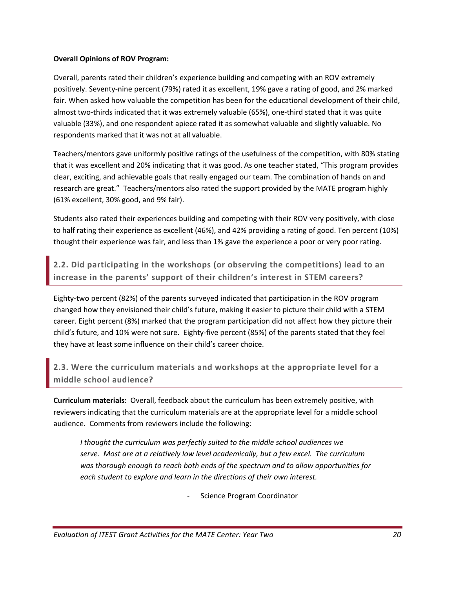#### **Overall Opinions of ROV Program:**

Overall, parents rated their children's experience building and competing with an ROV extremely positively. Seventy‐nine percent (79%) rated it as excellent, 19% gave a rating of good, and 2% marked fair. When asked how valuable the competition has been for the educational development of their child, almost two-thirds indicated that it was extremely valuable (65%), one-third stated that it was quite valuable (33%), and one respondent apiece rated it as somewhat valuable and slightly valuable. No respondents marked that it was not at all valuable.

Teachers/mentors gave uniformly positive ratings of the usefulness of the competition, with 80% stating that it was excellent and 20% indicating that it was good. As one teacher stated, "This program provides clear, exciting, and achievable goals that really engaged our team. The combination of hands on and research are great." Teachers/mentors also rated the support provided by the MATE program highly (61% excellent, 30% good, and 9% fair).

Students also rated their experiences building and competing with their ROV very positively, with close to half rating their experience as excellent (46%), and 42% providing a rating of good. Ten percent (10%) thought their experience was fair, and less than 1% gave the experience a poor or very poor rating.

**2.2. Did participating in the workshops (or observing the competitions) lead to an increase in the parents' support of their children's interest in STEM careers?**

Eighty‐two percent (82%) of the parents surveyed indicated that participation in the ROV program changed how they envisioned their child's future, making it easier to picture their child with a STEM career. Eight percent (8%) marked that the program participation did not affect how they picture their child's future, and 10% were not sure. Eighty‐five percent (85%) of the parents stated that they feel they have at least some influence on their child's career choice.

**2.3. Were the curriculum materials and workshops at the appropriate level for a middle school audience?**

**Curriculum materials:** Overall, feedback about the curriculum has been extremely positive, with reviewers indicating that the curriculum materials are at the appropriate level for a middle school audience. Comments from reviewers include the following:

*I thought the curriculum was perfectly suited to the middle school audiences we serve. Most are at a relatively low level academically, but a few excel. The curriculum was thorough enough to reach both ends of the spectrum and to allow opportunities for each student to explore and learn in the directions of their own interest.* 

‐ Science Program Coordinator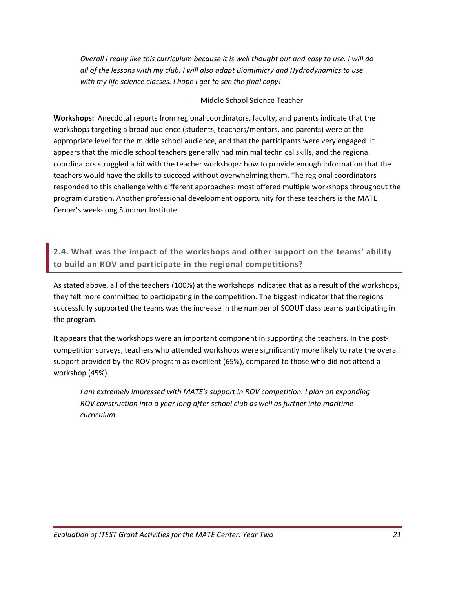Overall I really like this curriculum because it is well thought out and easy to use. I will do *all of the lessons with my club. I will also adapt Biomimicry and Hydrodynamics to use with my life science classes. I hope I get to see the final copy!*

‐ Middle School Science Teacher

**Workshops:** Anecdotal reports from regional coordinators, faculty, and parents indicate that the workshops targeting a broad audience (students, teachers/mentors, and parents) were at the appropriate level for the middle school audience, and that the participants were very engaged. It appears that the middle school teachers generally had minimal technical skills, and the regional coordinators struggled a bit with the teacher workshops: how to provide enough information that the teachers would have the skills to succeed without overwhelming them. The regional coordinators responded to this challenge with different approaches: most offered multiple workshops throughout the program duration. Another professional development opportunity for these teachers is the MATE Center's week‐long Summer Institute.

**2.4. What was the impact of the workshops and other support on the teams' ability to build an ROV and participate in the regional competitions?**

As stated above, all of the teachers (100%) at the workshops indicated that as a result of the workshops, they felt more committed to participating in the competition. The biggest indicator that the regions successfully supported the teams was the increase in the number of SCOUT class teams participating in the program.

It appears that the workshops were an important component in supporting the teachers. In the postcompetition surveys, teachers who attended workshops were significantly more likely to rate the overall support provided by the ROV program as excellent (65%), compared to those who did not attend a workshop (45%).

*I am extremely impressed with MATE's support in ROV competition. I plan on expanding ROV construction into a year long after school club as well as further into maritime curriculum.*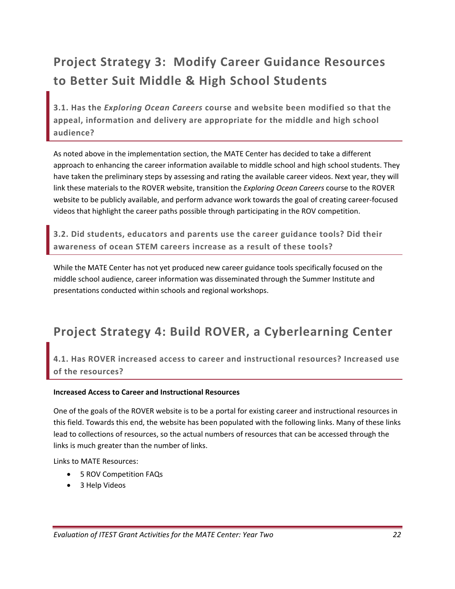# **Project Strategy 3: Modify Career Guidance Resources to Better Suit Middle & High School Students**

**3.1. Has the** *Exploring Ocean Careers* **course and website been modified so that the appeal, information and delivery are appropriate for the middle and high school audience?**

As noted above in the implementation section, the MATE Center has decided to take a different approach to enhancing the career information available to middle school and high school students. They have taken the preliminary steps by assessing and rating the available career videos. Next year, they will link these materials to the ROVER website, transition the *Exploring Ocean Careers* course to the ROVER website to be publicly available, and perform advance work towards the goal of creating career‐focused videos that highlight the career paths possible through participating in the ROV competition.

**3.2. Did students, educators and parents use the career guidance tools? Did their awareness of ocean STEM careers increase as a result of these tools?**

While the MATE Center has not yet produced new career guidance tools specifically focused on the middle school audience, career information was disseminated through the Summer Institute and presentations conducted within schools and regional workshops.

# **Project Strategy 4: Build ROVER, a Cyberlearning Center**

### **4.1. Has ROVER increased access to career and instructional resources? Increased use of the resources?**

### **Increased Access to Career and Instructional Resources**

One of the goals of the ROVER website is to be a portal for existing career and instructional resources in this field. Towards this end, the website has been populated with the following links. Many of these links lead to collections of resources, so the actual numbers of resources that can be accessed through the links is much greater than the number of links.

Links to MATE Resources:

- 5 ROV Competition FAQs
- 3 Help Videos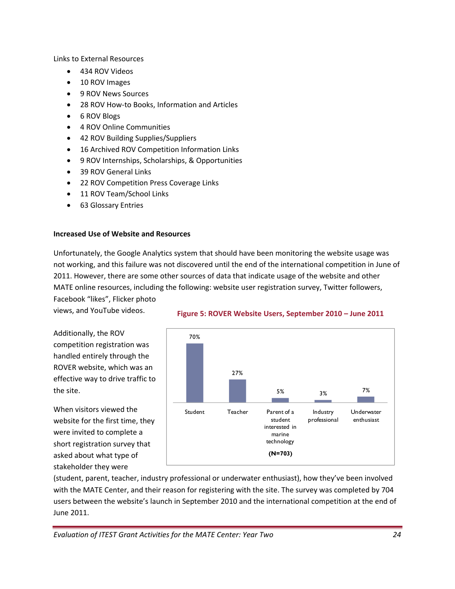Links to External Resources

- 434 ROV Videos
- 10 ROV Images
- 9 ROV News Sources
- 28 ROV How‐to Books, Information and Articles
- 6 ROV Blogs
- 4 ROV Online Communities
- 42 ROV Building Supplies/Suppliers
- 16 Archived ROV Competition Information Links
- 9 ROV Internships, Scholarships, & Opportunities
- 39 ROV General Links
- 22 ROV Competition Press Coverage Links
- 11 ROV Team/School Links
- 63 Glossary Entries

#### **Increased Use of Website and Resources**

Unfortunately, the Google Analytics system that should have been monitoring the website usage was not working, and this failure was not discovered until the end of the international competition in June of 2011. However, there are some other sources of data that indicate usage of the website and other MATE online resources, including the following: website user registration survey, Twitter followers,

Facebook "likes", Flicker photo views, and YouTube videos.

Additionally, the ROV competition registration was handled entirely through the ROVER website, which was an effective way to drive traffic to the site.

When visitors viewed the website for the first time, they were invited to complete a short registration survey that asked about what type of stakeholder they were



#### **Figure 5: ROVER Website Users, September 2010 – June 2011**

(student, parent, teacher, industry professional or underwater enthusiast), how they've been involved with the MATE Center, and their reason for registering with the site. The survey was completed by 704 users between the website's launch in September 2010 and the international competition at the end of June 2011.

*Evaluation of ITEST Grant Activities for the MATE Center: Year Two 24*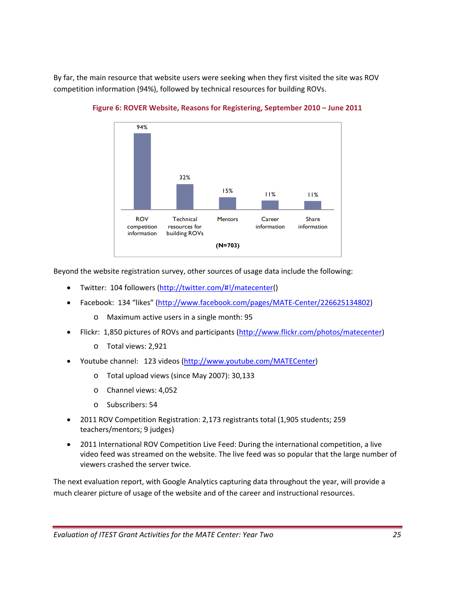By far, the main resource that website users were seeking when they first visited the site was ROV competition information (94%), followed by technical resources for building ROVs.



**Figure 6: ROVER Website, Reasons for Registering, September 2010 – June 2011**

Beyond the website registration survey, other sources of usage data include the following:

- Twitter: 104 followers (http://twitter.com/#!/matecenter()
- Facebook: 134 "likes" (http://www.facebook.com/pages/MATE‐Center/226625134802)
	- o Maximum active users in a single month: 95
- Flickr: 1,850 pictures of ROVs and participants (http://www.flickr.com/photos/matecenter)
	- o Total views: 2,921
- Youtube channel: 123 videos (http://www.youtube.com/MATECenter)
	- o Total upload views (since May 2007): 30,133
	- o Channel views: 4,052
	- o Subscribers: 54
- 2011 ROV Competition Registration: 2,173 registrants total (1,905 students; 259 teachers/mentors; 9 judges)
- 2011 International ROV Competition Live Feed: During the international competition, a live video feed was streamed on the website. The live feed was so popular that the large number of viewers crashed the server twice.

The next evaluation report, with Google Analytics capturing data throughout the year, will provide a much clearer picture of usage of the website and of the career and instructional resources.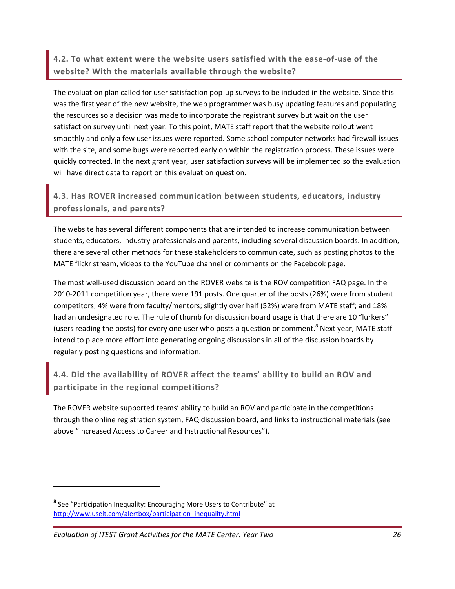**4.2. To what extent were the website users satisfied with the ease‐of‐use of the website? With the materials available through the website?** 

The evaluation plan called for user satisfaction pop‐up surveys to be included in the website. Since this was the first year of the new website, the web programmer was busy updating features and populating the resources so a decision was made to incorporate the registrant survey but wait on the user satisfaction survey until next year. To this point, MATE staff report that the website rollout went smoothly and only a few user issues were reported. Some school computer networks had firewall issues with the site, and some bugs were reported early on within the registration process. These issues were quickly corrected. In the next grant year, user satisfaction surveys will be implemented so the evaluation will have direct data to report on this evaluation question.

## **4.3. Has ROVER increased communication between students, educators, industry professionals, and parents?**

The website has several different components that are intended to increase communication between students, educators, industry professionals and parents, including several discussion boards. In addition, there are several other methods for these stakeholders to communicate, such as posting photos to the MATE flickr stream, videos to the YouTube channel or comments on the Facebook page.

The most well-used discussion board on the ROVER website is the ROV competition FAQ page. In the 2010‐2011 competition year, there were 191 posts. One quarter of the posts (26%) were from student competitors; 4% were from faculty/mentors; slightly over half (52%) were from MATE staff; and 18% had an undesignated role. The rule of thumb for discussion board usage is that there are 10 "lurkers" (users reading the posts) for every one user who posts a question or comment.<sup>8</sup> Next year, MATE staff intend to place more effort into generating ongoing discussions in all of the discussion boards by regularly posting questions and information.

### **4.4. Did the availability of ROVER affect the teams' ability to build an ROV and participate in the regional competitions?**

The ROVER website supported teams' ability to build an ROV and participate in the competitions through the online registration system, FAQ discussion board, and links to instructional materials (see above "Increased Access to Career and Instructional Resources").

**<sup>8</sup>** See "Participation Inequality: Encouraging More Users to Contribute" at http://www.useit.com/alertbox/participation\_inequality.html

*Evaluation of ITEST Grant Activities for the MATE Center: Year Two 26*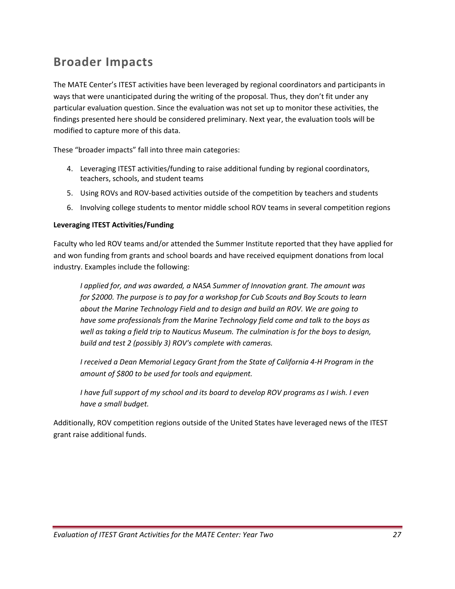## **Broader Impacts**

The MATE Center's ITEST activities have been leveraged by regional coordinators and participants in ways that were unanticipated during the writing of the proposal. Thus, they don't fit under any particular evaluation question. Since the evaluation was not set up to monitor these activities, the findings presented here should be considered preliminary. Next year, the evaluation tools will be modified to capture more of this data.

These "broader impacts" fall into three main categories:

- 4. Leveraging ITEST activities/funding to raise additional funding by regional coordinators, teachers, schools, and student teams
- 5. Using ROVs and ROV-based activities outside of the competition by teachers and students
- 6. Involving college students to mentor middle school ROV teams in several competition regions

#### **Leveraging ITEST Activities/Funding**

Faculty who led ROV teams and/or attended the Summer Institute reported that they have applied for and won funding from grants and school boards and have received equipment donations from local industry. Examples include the following:

*I applied for, and was awarded, a NASA Summer of Innovation grant. The amount was for \$2000. The purpose is to pay for a workshop for Cub Scouts and Boy Scouts to learn about the Marine Technology Field and to design and build an ROV. We are going to have some professionals from the Marine Technology field come and talk to the boys as well as taking a field trip to Nauticus Museum. The culmination is for the boys to design, build and test 2 (possibly 3) ROV's complete with cameras.*

*I received a Dean Memorial Legacy Grant from the State of California 4‐H Program in the amount of \$800 to be used for tools and equipment.*

*I have full support of my school and its board to develop ROV programs as I wish. I even have a small budget.*

Additionally, ROV competition regions outside of the United States have leveraged news of the ITEST grant raise additional funds.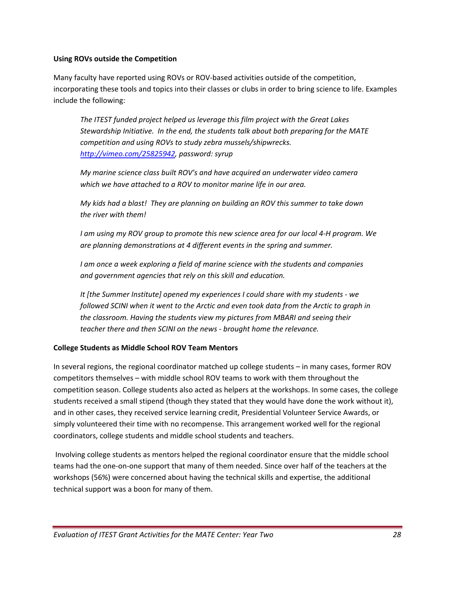#### **Using ROVs outside the Competition**

Many faculty have reported using ROVs or ROV‐based activities outside of the competition, incorporating these tools and topics into their classes or clubs in order to bring science to life. Examples include the following:

*The ITEST funded project helped us leverage this film project with the Great Lakes Stewardship Initiative. In the end, the students talk about both preparing for the MATE competition and using ROVs to study zebra mussels/shipwrecks. http://vimeo.com/25825942, password: syrup*

*My marine science class built ROV's and have acquired an underwater video camera which we have attached to a ROV to monitor marine life in our area.*

*My kids had a blast! They are planning on building an ROV this summer to take down the river with them!*

I am using my ROV group to promote this new science area for our local 4-H program. We *are planning demonstrations at 4 different events in the spring and summer.*

*I am once a week exploring a field of marine science with the students and companies and government agencies that rely on this skill and education.* 

*It [the Summer Institute] opened my experiences I could share with my students ‐ we followed SCINI when it went to the Arctic and even took data from the Arctic to graph in the classroom. Having the students view my pictures from MBARI and seeing their teacher there and then SCINI on the news ‐ brought home the relevance.*

### **College Students as Middle School ROV Team Mentors**

In several regions, the regional coordinator matched up college students – in many cases, former ROV competitors themselves – with middle school ROV teams to work with them throughout the competition season. College students also acted as helpers at the workshops. In some cases, the college students received a small stipend (though they stated that they would have done the work without it), and in other cases, they received service learning credit, Presidential Volunteer Service Awards, or simply volunteered their time with no recompense. This arrangement worked well for the regional coordinators, college students and middle school students and teachers.

Involving college students as mentors helped the regional coordinator ensure that the middle school teams had the one‐on‐one support that many of them needed. Since over half of the teachers at the workshops (56%) were concerned about having the technical skills and expertise, the additional technical support was a boon for many of them.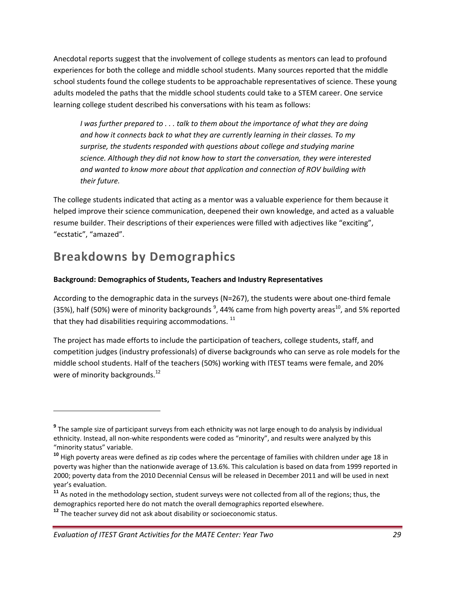Anecdotal reports suggest that the involvement of college students as mentors can lead to profound experiences for both the college and middle school students. Many sources reported that the middle school students found the college students to be approachable representatives of science. These young adults modeled the paths that the middle school students could take to a STEM career. One service learning college student described his conversations with his team as follows:

*I was further prepared to . . . talk to them about the importance of what they are doing and how it connects back to what they are currently learning in their classes. To my surprise, the students responded with questions about college and studying marine science. Although they did not know how to start the conversation, they were interested and wanted to know more about that application and connection of ROV building with their future.* 

The college students indicated that acting as a mentor was a valuable experience for them because it helped improve their science communication, deepened their own knowledge, and acted as a valuable resume builder. Their descriptions of their experiences were filled with adjectives like "exciting", "ecstatic", "amazed".

# **Breakdowns by Demographics**

### **Background: Demographics of Students, Teachers and Industry Representatives**

According to the demographic data in the surveys (N=267), the students were about one‐third female (35%), half (50%) were of minority backgrounds  $^9$ , 44% came from high poverty areas<sup>10</sup>, and 5% reported that they had disabilities requiring accommodations.  $^{11}$ 

The project has made efforts to include the participation of teachers, college students, staff, and competition judges (industry professionals) of diverse backgrounds who can serve as role models for the middle school students. Half of the teachers (50%) working with ITEST teams were female, and 20% were of minority backgrounds. $^{12}$ 

**<sup>9</sup>** The sample size of participant surveys from each ethnicity was not large enough to do analysis by individual ethnicity. Instead, all non-white respondents were coded as "minority", and results were analyzed by this "minority status" variable.

**<sup>10</sup>** High poverty areas were defined as zip codes where the percentage of families with children under age 18 in poverty was higher than the nationwide average of 13.6%. This calculation is based on data from 1999 reported in 2000; poverty data from the 2010 Decennial Census will be released in December 2011 and will be used in next year's evaluation.

**<sup>11</sup>** As noted in the methodology section, student surveys were not collected from all of the regions; thus, the demographics reported here do not match the overall demographics reported elsewhere.

**<sup>12</sup>** The teacher survey did not ask about disability or socioeconomic status.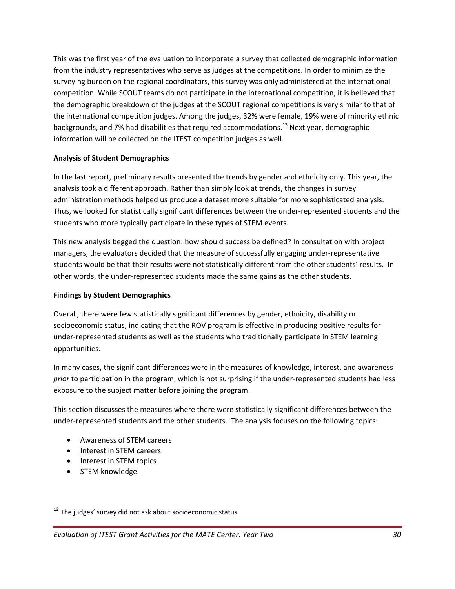This was the first year of the evaluation to incorporate a survey that collected demographic information from the industry representatives who serve as judges at the competitions. In order to minimize the surveying burden on the regional coordinators, this survey was only administered at the international competition. While SCOUT teams do not participate in the international competition, it is believed that the demographic breakdown of the judges at the SCOUT regional competitions is very similar to that of the international competition judges. Among the judges, 32% were female, 19% were of minority ethnic backgrounds, and 7% had disabilities that required accommodations.<sup>13</sup> Next vear, demographic information will be collected on the ITEST competition judges as well.

### **Analysis of Student Demographics**

In the last report, preliminary results presented the trends by gender and ethnicity only. This year, the analysis took a different approach. Rather than simply look at trends, the changes in survey administration methods helped us produce a dataset more suitable for more sophisticated analysis. Thus, we looked for statistically significant differences between the under‐represented students and the students who more typically participate in these types of STEM events.

This new analysis begged the question: how should success be defined? In consultation with project managers, the evaluators decided that the measure of successfully engaging under‐representative students would be that their results were not statistically different from the other students' results. In other words, the under‐represented students made the same gains as the other students.

#### **Findings by Student Demographics**

Overall, there were few statistically significant differences by gender, ethnicity, disability or socioeconomic status, indicating that the ROV program is effective in producing positive results for under‐represented students as well as the students who traditionally participate in STEM learning opportunities.

In many cases, the significant differences were in the measures of knowledge, interest, and awareness *prior* to participation in the program, which is not surprising if the under‐represented students had less exposure to the subject matter before joining the program.

This section discusses the measures where there were statistically significant differences between the under‐represented students and the other students. The analysis focuses on the following topics:

- Awareness of STEM careers
- Interest in STEM careers
- Interest in STEM topics
- STEM knowledge

**<sup>13</sup>** The judges' survey did not ask about socioeconomic status.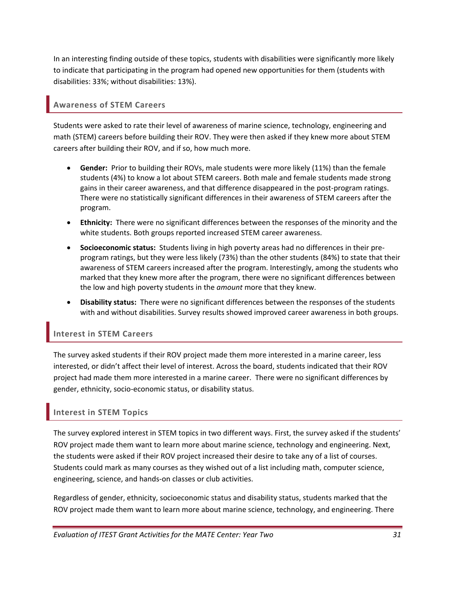In an interesting finding outside of these topics, students with disabilities were significantly more likely to indicate that participating in the program had opened new opportunities for them (students with disabilities: 33%; without disabilities: 13%).

### **Awareness of STEM Careers**

Students were asked to rate their level of awareness of marine science, technology, engineering and math (STEM) careers before building their ROV. They were then asked if they knew more about STEM careers after building their ROV, and if so, how much more.

- **Gender:** Prior to building their ROVs, male students were more likely (11%) than the female students (4%) to know a lot about STEM careers. Both male and female students made strong gains in their career awareness, and that difference disappeared in the post‐program ratings. There were no statistically significant differences in their awareness of STEM careers after the program.
- **Ethnicity:** There were no significant differences between the responses of the minority and the white students. Both groups reported increased STEM career awareness.
- **Socioeconomic status:** Students living in high poverty areas had no differences in their pre‐ program ratings, but they were less likely (73%) than the other students (84%) to state that their awareness of STEM careers increased after the program. Interestingly, among the students who marked that they knew more after the program, there were no significant differences between the low and high poverty students in the *amount* more that they knew.
- **Disability status:** There were no significant differences between the responses of the students with and without disabilities. Survey results showed improved career awareness in both groups.

### **Interest in STEM Careers**

The survey asked students if their ROV project made them more interested in a marine career, less interested, or didn't affect their level of interest. Across the board, students indicated that their ROV project had made them more interested in a marine career. There were no significant differences by gender, ethnicity, socio‐economic status, or disability status.

### **Interest in STEM Topics**

The survey explored interest in STEM topics in two different ways. First, the survey asked if the students' ROV project made them want to learn more about marine science, technology and engineering. Next, the students were asked if their ROV project increased their desire to take any of a list of courses. Students could mark as many courses as they wished out of a list including math, computer science, engineering, science, and hands‐on classes or club activities.

Regardless of gender, ethnicity, socioeconomic status and disability status, students marked that the ROV project made them want to learn more about marine science, technology, and engineering. There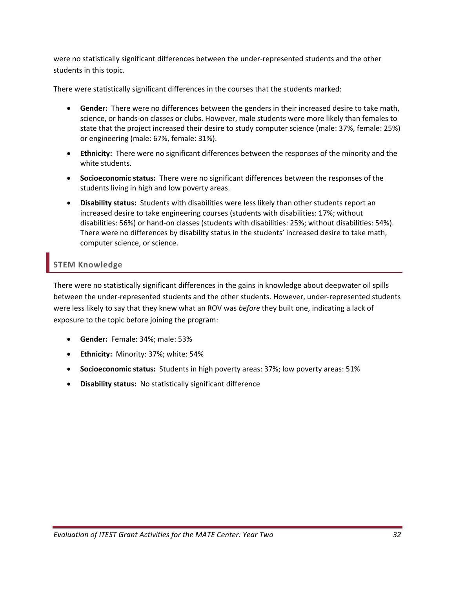were no statistically significant differences between the under-represented students and the other students in this topic.

There were statistically significant differences in the courses that the students marked:

- **Gender:** There were no differences between the genders in their increased desire to take math, science, or hands‐on classes or clubs. However, male students were more likely than females to state that the project increased their desire to study computer science (male: 37%, female: 25%) or engineering (male: 67%, female: 31%).
- **Ethnicity:** There were no significant differences between the responses of the minority and the white students.
- **Socioeconomic status:** There were no significant differences between the responses of the students living in high and low poverty areas.
- **Disability status:** Students with disabilities were less likely than other students report an increased desire to take engineering courses (students with disabilities: 17%; without disabilities: 56%) or hand‐on classes (students with disabilities: 25%; without disabilities: 54%). There were no differences by disability status in the students' increased desire to take math, computer science, or science.

### **STEM Knowledge**

There were no statistically significant differences in the gains in knowledge about deepwater oil spills between the under‐represented students and the other students. However, under‐represented students were less likely to say that they knew what an ROV was *before* they built one, indicating a lack of exposure to the topic before joining the program:

- **Gender:** Female: 34%; male: 53%
- **Ethnicity:** Minority: 37%; white: 54%
- **Socioeconomic status:** Students in high poverty areas: 37%; low poverty areas: 51%
- **Disability status:** No statistically significant difference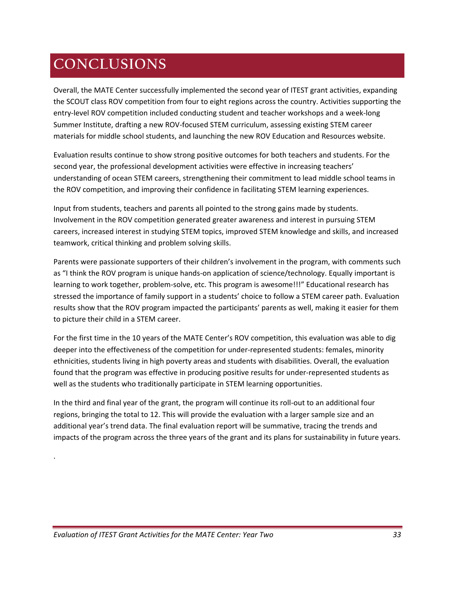# **CONCLUSIONS**

Overall, the MATE Center successfully implemented the second year of ITEST grant activities, expanding the SCOUT class ROV competition from four to eight regions across the country. Activities supporting the entry‐level ROV competition included conducting student and teacher workshops and a week‐long Summer Institute, drafting a new ROV‐focused STEM curriculum, assessing existing STEM career materials for middle school students, and launching the new ROV Education and Resources website.

Evaluation results continue to show strong positive outcomes for both teachers and students. For the second year, the professional development activities were effective in increasing teachers' understanding of ocean STEM careers, strengthening their commitment to lead middle school teams in the ROV competition, and improving their confidence in facilitating STEM learning experiences.

Input from students, teachers and parents all pointed to the strong gains made by students. Involvement in the ROV competition generated greater awareness and interest in pursuing STEM careers, increased interest in studying STEM topics, improved STEM knowledge and skills, and increased teamwork, critical thinking and problem solving skills.

Parents were passionate supporters of their children's involvement in the program, with comments such as "I think the ROV program is unique hands-on application of science/technology. Equally important is learning to work together, problem‐solve, etc. This program is awesome!!!" Educational research has stressed the importance of family support in a students' choice to follow a STEM career path. Evaluation results show that the ROV program impacted the participants' parents as well, making it easier for them to picture their child in a STEM career.

For the first time in the 10 years of the MATE Center's ROV competition, this evaluation was able to dig deeper into the effectiveness of the competition for under-represented students: females, minority ethnicities, students living in high poverty areas and students with disabilities. Overall, the evaluation found that the program was effective in producing positive results for under-represented students as well as the students who traditionally participate in STEM learning opportunities.

In the third and final year of the grant, the program will continue its roll-out to an additional four regions, bringing the total to 12. This will provide the evaluation with a larger sample size and an additional year's trend data. The final evaluation report will be summative, tracing the trends and impacts of the program across the three years of the grant and its plans for sustainability in future years.

.